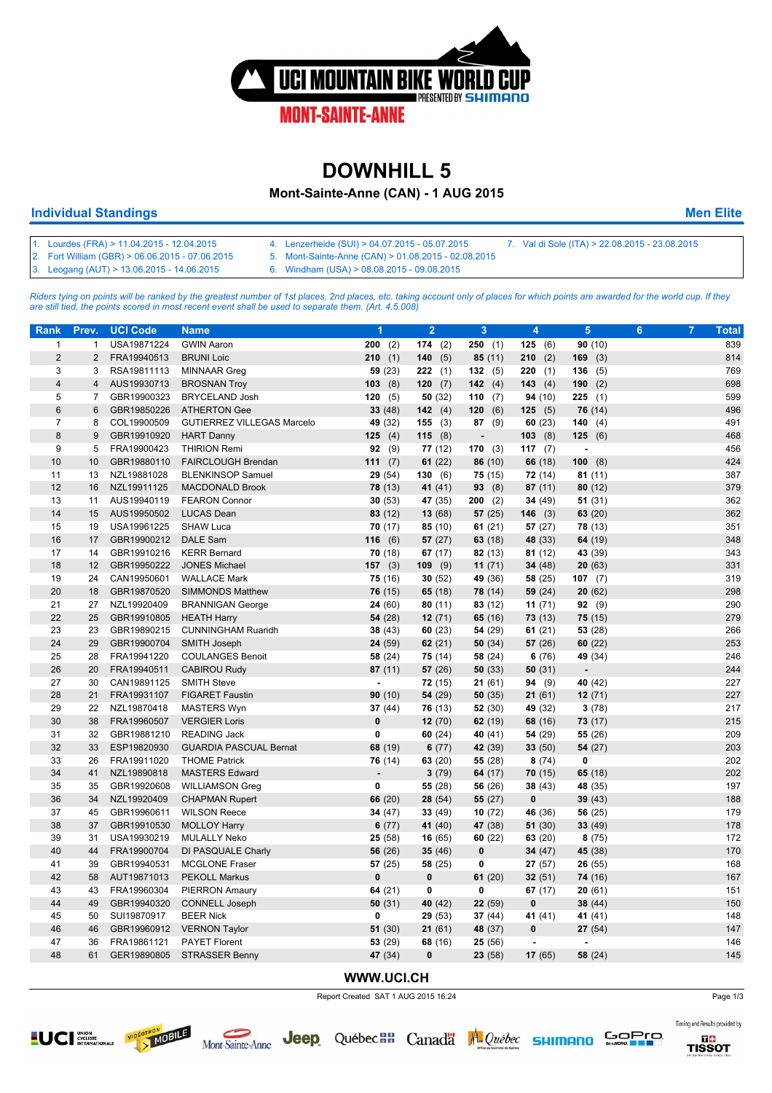

# **DOWNHILL 5**

### **Mont-Sainte-Anne (CAN) - 1 AUG 2015**

#### **Individual Standings Men Elite**

- 1. Lourdes (FRA) > 11.04.2015 12.04.2015 2. Fort William (GBR) > 06.06.2015 - 07.06.2015 4. Lenzerheide (SUI) > 04.07.2015 - 05.07.2015 7. Val di Sole (ITA) > 22.08.2015 - 23.08.2015
- 3. Leogang (AUT) > 13.06.2015 14.06.2015
- 5. Mont-Sainte-Anne (CAN) > 01.08.2015 02.08.2015
- 6. Windham (USA) > 08.08.2015 09.08.2015

Riders tying on points will be ranked by the greatest number of 1st places, 2nd places, etc. taking account only of places for which points are awarded for the world cup. If they<br>are still tied, the points scored in most r

| Rank           | Prev.          | <b>UCI Code</b> | <b>Name</b>                   | 1                        | $\overline{2}$ | 3              | 4          | $5\phantom{.0}$          | $6\phantom{1}$ | $\overline{7}$ | <b>Total</b> |
|----------------|----------------|-----------------|-------------------------------|--------------------------|----------------|----------------|------------|--------------------------|----------------|----------------|--------------|
| $\mathbf{1}$   | $\mathbf{1}$   | USA19871224     | <b>GWIN Aaron</b>             | 200<br>(2)               | 174(2)         | 250(1)         | 125<br>(6) | 90(10)                   |                |                | 839          |
| $\overline{2}$ | $\overline{2}$ | FRA19940513     | <b>BRUNI Loic</b>             | 210<br>(1)               | 140(5)         | 85(11)         | $210$ (2)  | $169$ (3)                |                |                | 814          |
| 3              | 3              | RSA19811113     | <b>MINNAAR Greg</b>           | 59 (23)                  | 222(1)         | 132(5)         | 220(1)     | 136(5)                   |                |                | 769          |
| $\overline{4}$ | $\overline{4}$ | AUS19930713     | <b>BROSNAN Troy</b>           | 103(8)                   | 120 $(7)$      | 142(4)         | 143(4)     | 190(2)                   |                |                | 698          |
| 5              | $\overline{7}$ | GBR19900323     | <b>BRYCELAND Josh</b>         | 120(5)                   | 50(32)         | 110<br>(7)     | 94(10)     | 225(1)                   |                |                | 599          |
| $6\phantom{a}$ | 6              | GBR19850226     | <b>ATHERTON Gee</b>           | 33(48)                   | 142(4)         | 120<br>(6)     | 125(5)     | 76 (14)                  |                |                | 496          |
| $\overline{7}$ | 8              | COL19900509     | GUTIERREZ VILLEGAS Marcelo    | 49 (32)                  | 155(3)         | 87<br>(9)      | 60(23)     | 140 $(4)$                |                |                | 491          |
| 8              | 9              | GBR19910920     | <b>HART Danny</b>             | 125(4)                   | 115(8)         | $\overline{a}$ | 103(8)     | 125(6)                   |                |                | 468          |
| 9              | 5              | FRA19900423     | <b>THIRION Remi</b>           | 92(9)                    | 77 (12)        | 170(3)         | 117 $(7)$  | ä,                       |                |                | 456          |
| 10             | 10             | GBR19880110     | <b>FAIRCLOUGH Brendan</b>     | 111 $(7)$                | 61(22)         | 86 (10)        | 66 (18)    | $100$ (8)                |                |                | 424          |
| 11             | 13             | NZL19881028     | <b>BLENKINSOP Samuel</b>      | 29 (54)                  | 130(6)         | 75 (15)        | 72 (14)    | 81(11)                   |                |                | 387          |
| 12             | 16             | NZL19911125     | <b>MACDONALD Brook</b>        | 78 (13)                  | 41 (41)        | 93(8)          | 87(11)     | 80(12)                   |                |                | 379          |
| 13             | 11             | AUS19940119     | <b>FEARON Connor</b>          | 30(53)                   | 47 (35)        | $200$ (2)      | 34 (49)    | 51(31)                   |                |                | 362          |
| 14             | 15             | AUS19950502     | <b>LUCAS Dean</b>             | 83(12)                   | 13(68)         | 57(25)         | $146$ (3)  | 63(20)                   |                |                | 362          |
| 15             | 19             | USA19961225     | <b>SHAW Luca</b>              | 70(17)                   | 85 (10)        | 61(21)         | 57(27)     | 78 (13)                  |                |                | 351          |
| 16             | 17             | GBR19900212     | DALE Sam                      | 116(6)                   | 57(27)         | 63(18)         | 48 (33)    | 64 (19)                  |                |                | 348          |
| 17             | 14             | GBR19910216     | <b>KERR Bernard</b>           | 70(18)                   | 67(17)         | 82 (13)        | 81(12)     | 43 (39)                  |                |                | 343          |
| 18             | 12             | GBR19950222     | <b>JONES Michael</b>          | $157$ (3)                | $109$ (9)      | 11(71)         | 34 (48)    | 20(63)                   |                |                | 331          |
| 19             | 24             | CAN19950601     | <b>WALLACE Mark</b>           | 75 (16)                  | 30(52)         | 49 (36)        | 58 (25)    | 107 $(7)$                |                |                | 319          |
| 20             | 18             | GBR19870520     | SIMMONDS Matthew              | 76 (15)                  | 65(18)         | 78 (14)        | 59(24)     | 20(62)                   |                |                | 298          |
| 21             | 27             | NZL19920409     | <b>BRANNIGAN George</b>       | 24 (60)                  | 80(11)         | 83 (12)        | 11(71)     | 92(9)                    |                |                | 290          |
| 22             | 25             | GBR19910805     | <b>HEATH Harry</b>            | 54 (28)                  | 12(71)         | 65(16)         | 73(13)     | 75(15)                   |                |                | 279          |
| 23             | 23             | GBR19890215     | <b>CUNNINGHAM Ruaridh</b>     | 38(43)                   | 60(23)         | 54 (29)        | 61(21)     | 53(28)                   |                |                | 266          |
| 24             | 29             | GBR19900704     | SMITH Joseph                  | 24 (59)                  | 62 $(21)$      | 50(34)         | 57(26)     | 60(22)                   |                |                | 253          |
| 25             | 28             | FRA19941220     | <b>COULANGES Benoit</b>       | 58 (24)                  | 75 (14)        | 58 (24)        | 6(76)      | 49 (34)                  |                |                | 246          |
| 26             | 20             | FRA19940511     | <b>CABIROU Rudy</b>           | 87(11)                   | 57(26)         | 50(33)         | 50(31)     | $\overline{\phantom{a}}$ |                |                | 244          |
| 27             | 30             | CAN19891125     | <b>SMITH Steve</b>            | ä,                       | 72 (15)        | 21(61)         | 94(9)      | 40 (42)                  |                |                | 227          |
| 28             | 21             | FRA19931107     | <b>FIGARET Faustin</b>        | 90(10)                   | 54(29)         | 50(35)         | 21(61)     | 12(71)                   |                |                | 227          |
| 29             | 22             | NZL19870418     | <b>MASTERS Wyn</b>            | 37(44)                   | 76 (13)        | 52 (30)        | 49 (32)    | 3(78)                    |                |                | 217          |
| 30             | 38             | FRA19960507     | <b>VERGIER Loris</b>          | $\pmb{0}$                | 12(70)         | 62(19)         | 68 (16)    | 73(17)                   |                |                | 215          |
| 31             | 32             | GBR19881210     | <b>READING Jack</b>           | $\mathbf 0$              | 60(24)         | 40 (41)        | 54 (29)    | 55 (26)                  |                |                | 209          |
| 32             | 33             | ESP19820930     | <b>GUARDIA PASCUAL Bernat</b> | 68 (19)                  | 6(77)          | 42 (39)        | 33(50)     | 54(27)                   |                |                | 203          |
| 33             | 26             | FRA19911020     | <b>THOME Patrick</b>          | 76 (14)                  | 63(20)         | 55 (28)        | 8(74)      | $\mathbf 0$              |                |                | 202          |
| 34             | 41             | NZL19890818     | <b>MASTERS Edward</b>         | $\overline{\phantom{a}}$ | 3(79)          | 64 (17)        | 70(15)     | 65(18)                   |                |                | 202          |
| 35             | 35             | GBR19920608     | <b>WILLIAMSON Greg</b>        | $\pmb{0}$                | 55 (28)        | 56 (26)        | 38 (43)    | 48 (35)                  |                |                | 197          |
| 36             | 34             | NZL19920409     | <b>CHAPMAN Rupert</b>         | 66 (20)                  | 28(54)         | 55 $(27)$      | 0          | 39(43)                   |                |                | 188          |
| 37             | 45             | GBR19960611     | <b>WILSON Reece</b>           | 34 (47)                  | 33(49)         | 10(72)         | 46 (36)    | 56 (25)                  |                |                | 179          |
| 38             | 37             | GBR19910530     | <b>MOLLOY Harry</b>           | 6(77)                    | 41 (40)        | 47 (38)        | 51(30)     | 33(49)                   |                |                | 178          |
| 39             | 31             | USA19930219     | MULALLY Neko                  | 25 (58)                  | 16(65)         | 60(22)         | 63(20)     | 8(75)                    |                |                | 172          |
| 40             | 44             | FRA19900704     | DI PASQUALE Charly            | 56 (26)                  | 35(46)         | $\mathbf{0}$   | 34 (47)    | 45 (38)                  |                |                | 170          |
| 41             | 39             | GBR19940531     | <b>MCGLONE Fraser</b>         | 57 (25)                  | 58 (25)        | 0              | 27 (57)    | 26(55)                   |                |                | 168          |
| 42             | 58             | AUT19871013     | <b>PEKOLL Markus</b>          | $\pmb{0}$                | $\pmb{0}$      | 61(20)         | 32(51)     | 74 (16)                  |                |                | 167          |
| 43             | 43             | FRA19960304     | PIERRON Amaury                | 64 (21)                  | 0              | 0              | 67(17)     | 20(61)                   |                |                | 151          |
| 44             | 49             | GBR19940320     | <b>CONNELL Joseph</b>         | 50(31)                   | 40 (42)        | 22 (59)        | $\pmb{0}$  | 38(44)                   |                |                | 150          |
| 45             | 50             | SUI19870917     | <b>BEER Nick</b>              | $\mathbf 0$              | 29(53)         | 37 (44)        | 41 (41)    | 41 (41)                  |                |                | 148          |
| 46             | 46             | GBR19960912     | <b>VERNON Taylor</b>          | 51(30)                   | 21(61)         | 48 (37)        | 0          | 27(54)                   |                |                | 147          |
| 47             | 36             | FRA19861121     | <b>PAYET Florent</b>          | 53 (29)                  | 68 (16)        | 25 (56)        |            |                          |                |                | 146          |
| 48             | 61             | GER19890805     | <b>STRASSER Benny</b>         | 47 (34)                  | 0              | 23(58)         | 17(65)     | 58 (24)                  |                |                | 145          |
|                |                |                 |                               |                          |                |                |            |                          |                |                |              |

### **WWW.UCI.CH**

Report Created SAT 1 AUG 2015 16:24





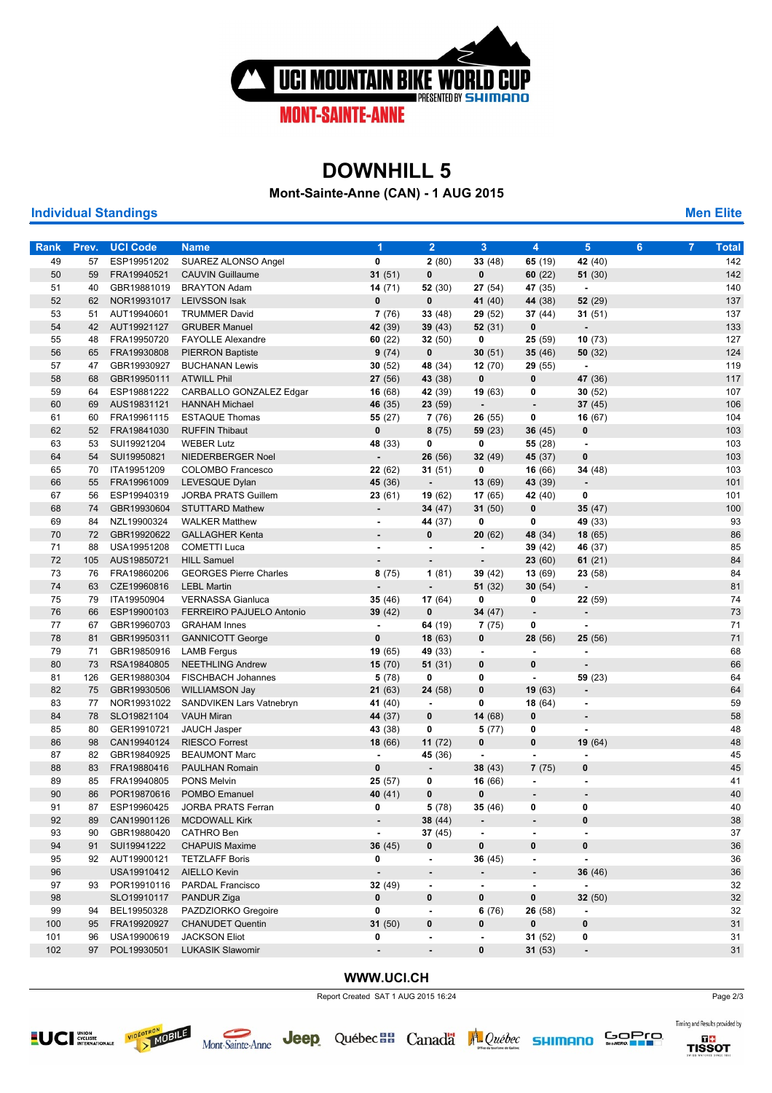

# **DOWNHILL 5**

**Mont-Sainte-Anne (CAN) - 1 AUG 2015**

#### **Individual Standings Men Elite**

**Rank Prev. UCI Code Name 1 2 3 4 5 6 7 Total** 57 ESP19951202 SUAREZ ALONSO Angel **0 2** (80) **33** (48) **65** (19) **42** (40) 142 59 FRA19940521 CAUVIN Guillaume **31** (51) **0 0 60** (22) **51** (30) 142 40 GBR19881019 BRAYTON Adam **14** (71) **52** (30) **27** (54) **47** (35) **-** 140 62 NOR19931017 LEIVSSON Isak **0 0 41** (40) **44** (38) **52** (29) 137 51 AUT19940601 TRUMMER David **7** (76) **33** (48) **29** (52) **37** (44) **31** (51) 137 42 AUT19921127 GRUBER Manuel **42** (39) **39** (43) **52** (31) **0 -** 133 48 FRA19950720 FAYOLLE Alexandre **60** (22) **32** (50) **0 25** (59) **10** (73) 127 65 FRA19930808 PIERRON Baptiste **9** (74) **0 30** (51) **35** (46) **50** (32) 124 47 GBR19930927 BUCHANAN Lewis **30** (52) **48** (34) **12** (70) **29** (55) **-** 119 68 GBR19950111 ATWILL Phil **27** (56) **43** (38) **0 0 47** (36) 117 64 ESP19881222 CARBALLO GONZALEZ Edgar **16** (68) **42** (39) **19** (63) **0 30** (52) 107 69 AUS19831121 HANNAH Michael **46** (35) **23** (59) **- - 37** (45) 106 60 FRA19961115 ESTAQUE Thomas **55** (27) **7** (76) **26** (55) **0 16** (67) 104 52 FRA19841030 RUFFIN Thibaut **0 8** (75) **59** (23) **36** (45) **0** 103 53 SUI19921204 WEBER Lutz **48** (33) **0 0 55** (28) **-** 103 54 SUI19950821 NIEDERBERGER Noel **- 26** (56) **32** (49) **45** (37) **0** 103 70 ITA19951209 COLOMBO Francesco **22** (62) **31** (51) **0 16** (66) **34** (48) 103 55 FRA19961009 LEVESQUE Dylan **45** (36) **- 13** (69) **43** (39) **-** 101 56 ESP19940319 JORBA PRATS Guillem **23** (61) **19** (62) **17** (65) **42** (40) **0** 101 74 GBR19930604 STUTTARD Mathew **- 34** (47) **31** (50) **0 35** (47) 100 84 NZL19900324 WALKER Matthew **- 44** (37) **0 0 49** (33) 93 72 GBR19920622 GALLAGHER Kenta **- 0 20** (62) **48** (34) **18** (65) 86 88 USA19951208 COMETTI Luca **- - - 39** (42) **46** (37) 85 105 AUS19850721 HILL Samuel **- - - 23** (60) **61** (21) 84 76 FRA19860206 GEORGES Pierre Charles **8** (75) **1** (81) **39** (42) **13** (69) **23** (58) 84 63 CZE19960816 LEBL Martin **- - 51** (32) **30** (54) **-** 81 79 ITA19950904 VERNASSA Gianluca **35** (46) **17** (64) **0 0 22** (59) 74 66 ESP19900103 FERREIRO PAJUELO Antonio **39** (42) **0 34** (47) **- -** 73 67 GBR19960703 GRAHAM Innes **- 64** (19) **7** (75) **0 -** 71 81 GBR19950311 GANNICOTT George **0 18** (63) **0 28** (56) **25** (56) 71 71 GBR19850916 LAMB Fergus **19** (65) **49** (33) **- - -** 68 73 RSA19840805 NEETHLING Andrew **15** (70) **51** (31) **0 0 -** 66 126 GER19880304 FISCHBACH Johannes **5** (78) **0 0 - 59** (23) 64 75 GBR19930506 WILLIAMSON Jay **21** (63) **24** (58) **0 19** (63) **-** 64 77 NOR19931022 SANDVIKEN Lars Vatnebryn **41** (40) **- 0 18** (64) **-** 59 78 SLO19821104 VAUH Miran **44** (37) **0 14** (68) **0 -** 58 80 GER19910721 JAUCH Jasper **43** (38) **0 5** (77) **0 -** 48 98 CAN19940124 RIESCO Forrest **18** (66) **11** (72) **0 0 19** (64) 48 82 GBR19840925 BEAUMONT Marc **- 45** (36) **- - -** 45 83 FRA19880416 PAULHAN Romain **0 - 38** (43) **7** (75) **0** 45 85 FRA19940805 PONS Melvin **25** (57) **0 16** (66) **- -** 41 86 POR19870616 POMBO Emanuel **40** (41) **0 0 - -** 40 87 ESP19960425 JORBA PRATS Ferran **0 5** (78) **35** (46) **0 0** 40 89 CAN19901126 MCDOWALL Kirk **- 38** (44) **- - 0** 38 90 GBR19880420 CATHRO Ben **- 37** (45) **- - -** 37 91 SUI19941222 CHAPUIS Maxime **36** (45) **0 0 0 0** 36 92 AUT19900121 TETZLAFF Boris **0 - 36** (45) **- -** 36 USA19910412 AIELLO Kevin **- - - - 36** (46) 36 93 POR19910116 PARDAL Francisco **32** (49) **- - - -** 32 SLO19910117 PANDUR Ziga **0 0 0 0 32** (50) 32 94 BEL19950328 PAZDZIORKO Gregoire **0 - 6** (76) **26** (58) **-** 32 95 FRA19920927 CHANUDET Quentin **31** (50) **0 0 0 0** 31 96 USA19900619 JACKSON Eliot **0 - - 31** (52) **0** 31 97 POL19930501 LUKASIK Slawomir **- - 0 31** (53) **-** 31

### **WWW.UCI.CH**



**LUCI CYCLISTE VIDÉOTRON**<br>
NOBILE



Jeep Québec B Canada A Québec SHIMANO



GoPro